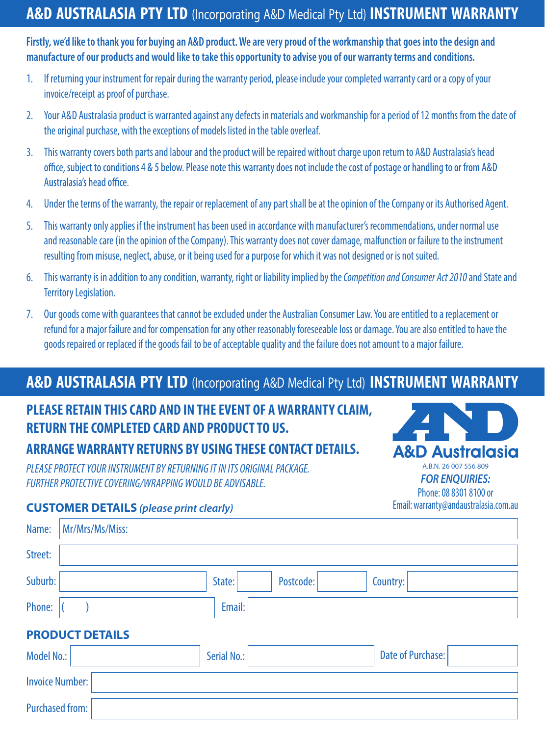# **A&D AUSTRALASIA PTY LTD (Incorporating A&D Medical Pty Ltd) INSTRUMENT WARRANTY**

**Firstly, we'd like to thank you for buying an A&D product.We are very proud of the workmanship that goes into the design and manufacture of our products and would like to take this opportunity to advise you of our warranty terms and conditions.**

- 1. If returning your instrument for repair during the warranty period, please include your completed warranty card or a copy of your invoice/receipt as proof of purchase.
- 2. Your A&D Australasia product is warranted against any defects in materials and workmanship for a period of 12 months from the date of the original purchase, with the exceptions of models listed in the table overleaf.
- 3. This warranty covers both parts and labour and the product will be repaired without charge upon return to A&D Australasia's head office, subject to conditions 4 & 5 below. Please note this warranty does not include the cost of postage or handling to or from A&D Australasia's head office.
- 4. Under the terms of the warranty, the repair or replacement of any part shall be at the opinion of the Company or its Authorised Agent.
- 5. This warranty only applies if the instrument has been used in accordance with manufacturer's recommendations, under normal use and reasonable care (in the opinion of the Company). This warranty does not cover damage, malfunction or failure to the instrument resulting from misuse, neglect, abuse, or it being used for a purpose for which it was not designed or is not suited.
- 6. This warranty is in addition to any condition, warranty, right or liability implied by the *Competition and Consumer Act 2010* and State and Territory Legislation.
- 7. Our goods come with guarantees that cannot be excluded under the Australian Consumer Law.You are entitled to a replacement or refund for a major failure and for compensation for any other reasonably foreseeable loss or damage.You are also entitled to have the goods repaired or replaced if the goods fail to be of acceptable quality and the failure does not amount to a major failure.

## **A&D AUSTRALASIA PTY LTD (Incorporating A&D Medical Pty Ltd) INSTRUMENT WARRANTY**

## **PLEASE RETAIN THIS CARD AND IN THE EVENT OF AWARRANTY CLAIM, RETURN THE COMPLETED CARD AND PRODUCTTO US.**

## **ARRANGEWARRANTY RETURNS BY USING THESE CONTACT DETAILS.**

*PLEASE PROTECT YOUR INSTRUMENT BY RETURNING IT IN ITS ORIGINAL PACKAGE. FURTHER PROTECTIVE COVERING/WRAPPING WOULD BE ADVISABLE.* 



#### **CUSTOMER DETAILS** *(please print clearly)*

| Name:                  | Mr/Mrs/Ms/Miss:        |             |           |                          |
|------------------------|------------------------|-------------|-----------|--------------------------|
| Street:                |                        |             |           |                          |
| Suburb:                |                        | State:      | Postcode: | Country:                 |
| Phone:                 |                        | Email:      |           |                          |
|                        | <b>PRODUCT DETAILS</b> |             |           |                          |
| Model No.:             |                        | Serial No.: |           | <b>Date of Purchase:</b> |
| <b>Invoice Number:</b> |                        |             |           |                          |
| <b>Purchased from:</b> |                        |             |           |                          |